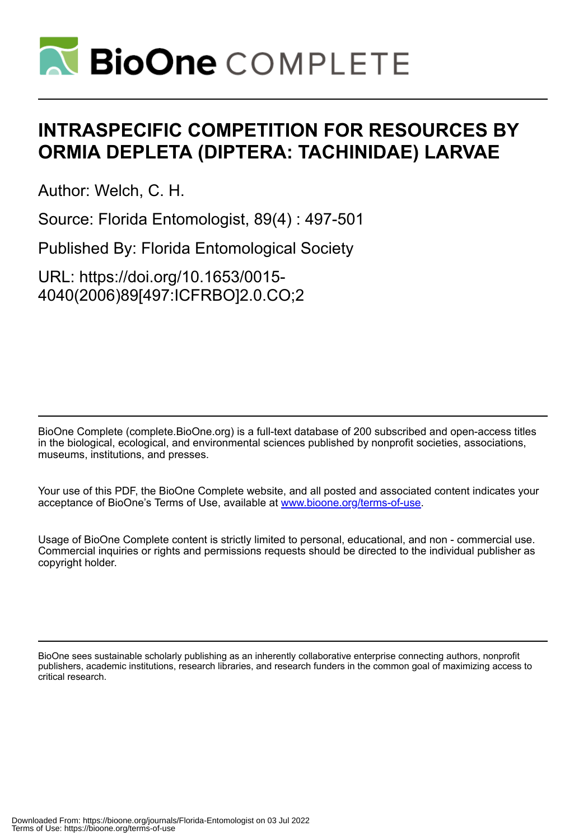

# **INTRASPECIFIC COMPETITION FOR RESOURCES BY ORMIA DEPLETA (DIPTERA: TACHINIDAE) LARVAE**

Author: Welch, C. H.

Source: Florida Entomologist, 89(4) : 497-501

Published By: Florida Entomological Society

URL: https://doi.org/10.1653/0015- 4040(2006)89[497:ICFRBO]2.0.CO;2

BioOne Complete (complete.BioOne.org) is a full-text database of 200 subscribed and open-access titles in the biological, ecological, and environmental sciences published by nonprofit societies, associations, museums, institutions, and presses.

Your use of this PDF, the BioOne Complete website, and all posted and associated content indicates your acceptance of BioOne's Terms of Use, available at www.bioone.org/terms-of-use.

Usage of BioOne Complete content is strictly limited to personal, educational, and non - commercial use. Commercial inquiries or rights and permissions requests should be directed to the individual publisher as copyright holder.

BioOne sees sustainable scholarly publishing as an inherently collaborative enterprise connecting authors, nonprofit publishers, academic institutions, research libraries, and research funders in the common goal of maximizing access to critical research.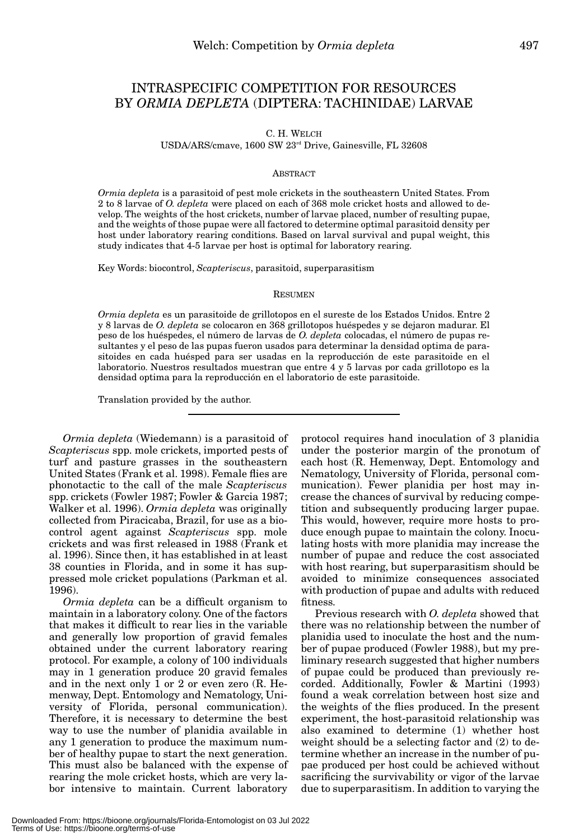# INTRASPECIFIC COMPETITION FOR RESOURCES BY *ORMIA DEPLETA* (DIPTERA: TACHINIDAE) LARVAE

C. H. WELCH

USDA/ARS/cmave, 1600 SW 23rd Drive, Gainesville, FL 32608

### ABSTRACT

*Ormia depleta* is a parasitoid of pest mole crickets in the southeastern United States. From 2 to 8 larvae of *O. depleta* were placed on each of 368 mole cricket hosts and allowed to develop. The weights of the host crickets, number of larvae placed, number of resulting pupae, and the weights of those pupae were all factored to determine optimal parasitoid density per host under laboratory rearing conditions. Based on larval survival and pupal weight, this study indicates that 4-5 larvae per host is optimal for laboratory rearing.

Key Words: biocontrol, *Scapteriscus*, parasitoid, superparasitism

#### **RESUMEN**

*Ormia depleta* es un parasitoide de grillotopos en el sureste de los Estados Unidos. Entre 2 y 8 larvas de *O. depleta* se colocaron en 368 grillotopos huéspedes y se dejaron madurar. El peso de los huéspedes, el número de larvas de *O. depleta* colocadas, el número de pupas resultantes y el peso de las pupas fueron usados para determinar la densidad optima de parasitoides en cada huésped para ser usadas en la reproducción de este parasitoide en el laboratorio. Nuestros resultados muestran que entre 4 y 5 larvas por cada grillotopo es la densidad optima para la reproducción en el laboratorio de este parasitoide.

Translation provided by the author.

*Ormia depleta* (Wiedemann) is a parasitoid of *Scapteriscus* spp. mole crickets, imported pests of turf and pasture grasses in the southeastern United States (Frank et al. 1998). Female flies are phonotactic to the call of the male *Scapteriscus* spp. crickets (Fowler 1987; Fowler & Garcia 1987; Walker et al. 1996). *Ormia depleta* was originally collected from Piracicaba, Brazil, for use as a biocontrol agent against *Scapteriscus* spp. mole crickets and was first released in 1988 (Frank et al. 1996). Since then, it has established in at least 38 counties in Florida, and in some it has suppressed mole cricket populations (Parkman et al. 1996).

*Ormia depleta* can be a difficult organism to maintain in a laboratory colony. One of the factors that makes it difficult to rear lies in the variable and generally low proportion of gravid females obtained under the current laboratory rearing protocol. For example, a colony of 100 individuals may in 1 generation produce 20 gravid females and in the next only 1 or 2 or even zero (R. Hemenway, Dept. Entomology and Nematology, University of Florida, personal communication). Therefore, it is necessary to determine the best way to use the number of planidia available in any 1 generation to produce the maximum number of healthy pupae to start the next generation. This must also be balanced with the expense of rearing the mole cricket hosts, which are very labor intensive to maintain. Current laboratory

protocol requires hand inoculation of 3 planidia under the posterior margin of the pronotum of each host (R. Hemenway, Dept. Entomology and Nematology, University of Florida, personal communication). Fewer planidia per host may increase the chances of survival by reducing competition and subsequently producing larger pupae. This would, however, require more hosts to produce enough pupae to maintain the colony. Inoculating hosts with more planidia may increase the number of pupae and reduce the cost associated with host rearing, but superparasitism should be avoided to minimize consequences associated with production of pupae and adults with reduced fitness.

Previous research with *O. depleta* showed that there was no relationship between the number of planidia used to inoculate the host and the number of pupae produced (Fowler 1988), but my preliminary research suggested that higher numbers of pupae could be produced than previously recorded. Additionally, Fowler & Martini (1993) found a weak correlation between host size and the weights of the flies produced. In the present experiment, the host-parasitoid relationship was also examined to determine (1) whether host weight should be a selecting factor and (2) to determine whether an increase in the number of pupae produced per host could be achieved without sacrificing the survivability or vigor of the larvae due to superparasitism. In addition to varying the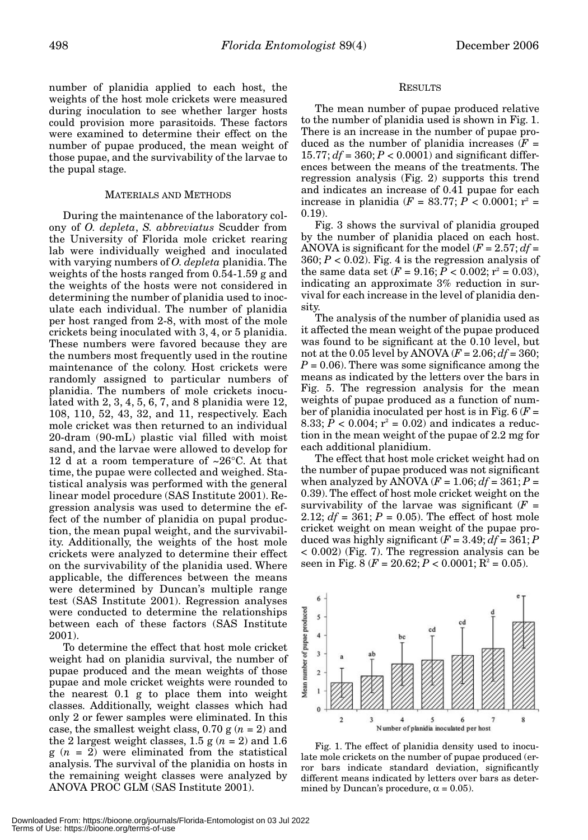number of planidia applied to each host, the weights of the host mole crickets were measured during inoculation to see whether larger hosts could provision more parasitoids. These factors were examined to determine their effect on the number of pupae produced, the mean weight of those pupae, and the survivability of the larvae to the pupal stage.

## MATERIALS AND METHODS

During the maintenance of the laboratory colony of *O. depleta*, *S. abbreviatus* Scudder from the University of Florida mole cricket rearing lab were individually weighed and inoculated with varying numbers of *O. depleta* planidia. The weights of the hosts ranged from 0.54-1.59 g and the weights of the hosts were not considered in determining the number of planidia used to inoculate each individual. The number of planidia per host ranged from 2-8, with most of the mole crickets being inoculated with 3, 4, or 5 planidia. These numbers were favored because they are the numbers most frequently used in the routine maintenance of the colony. Host crickets were randomly assigned to particular numbers of planidia. The numbers of mole crickets inoculated with 2, 3, 4, 5, 6, 7, and 8 planidia were 12, 108, 110, 52, 43, 32, and 11, respectively. Each mole cricket was then returned to an individual 20-dram (90-mL) plastic vial filled with moist sand, and the larvae were allowed to develop for 12 d at a room temperature of ~26°C. At that time, the pupae were collected and weighed. Statistical analysis was performed with the general linear model procedure (SAS Institute 2001). Regression analysis was used to determine the effect of the number of planidia on pupal production, the mean pupal weight, and the survivability. Additionally, the weights of the host mole crickets were analyzed to determine their effect on the survivability of the planidia used. Where applicable, the differences between the means were determined by Duncan's multiple range test (SAS Institute 2001). Regression analyses were conducted to determine the relationships between each of these factors (SAS Institute 2001).

To determine the effect that host mole cricket weight had on planidia survival, the number of pupae produced and the mean weights of those pupae and mole cricket weights were rounded to the nearest 0.1 g to place them into weight classes. Additionally, weight classes which had only 2 or fewer samples were eliminated. In this case, the smallest weight class,  $0.70$  g  $(n = 2)$  and the 2 largest weight classes, 1.5  $g(n = 2)$  and 1.6  $g(n = 2)$  were eliminated from the statistical analysis. The survival of the planidia on hosts in the remaining weight classes were analyzed by ANOVA PROC GLM (SAS Institute 2001).

# RESULTS

The mean number of pupae produced relative to the number of planidia used is shown in Fig. 1. There is an increase in the number of pupae produced as the number of planidia increases (*F* = 15.77;  $df = 360$ ;  $P < 0.0001$ ) and significant differences between the means of the treatments. The regression analysis (Fig. 2) supports this trend and indicates an increase of 0.41 pupae for each increase in planidia ( $F = 83.77; P < 0.0001; r^2 =$ 0.19).

Fig. 3 shows the survival of planidia grouped by the number of planidia placed on each host. ANOVA is significant for the model  $(F = 2.57; df =$  $360; P < 0.02$ ). Fig. 4 is the regression analysis of the same data set  $(F = 9.16; P < 0.002; r^2 = 0.03)$ , indicating an approximate 3% reduction in survival for each increase in the level of planidia density.

The analysis of the number of planidia used as it affected the mean weight of the pupae produced was found to be significant at the 0.10 level, but not at the 0.05 level by ANOVA ( $F = 2.06$ ;  $df = 360$ ;  $P = 0.06$ ). There was some significance among the means as indicated by the letters over the bars in Fig. 5. The regression analysis for the mean weights of pupae produced as a function of number of planidia inoculated per host is in Fig. 6 (*F* = 8.33;  $P < 0.004$ ;  $r^2 = 0.02$ ) and indicates a reduction in the mean weight of the pupae of 2.2 mg for each additional planidium.

The effect that host mole cricket weight had on the number of pupae produced was not significant when analyzed by ANOVA ( $F = 1.06$ ;  $df = 361$ ;  $P =$ 0.39). The effect of host mole cricket weight on the survivability of the larvae was significant  $(F =$ 2.12;  $df = 361$ ;  $P = 0.05$ ). The effect of host mole cricket weight on mean weight of the pupae produced was highly significant  $(F = 3.49; df = 361; P$ < 0.002) (Fig. 7). The regression analysis can be seen in Fig. 8 ( $F = 20.62; P < 0.0001; R^2 = 0.05$ ).



Fig. 1. The effect of planidia density used to inoculate mole crickets on the number of pupae produced (error bars indicate standard deviation, significantly different means indicated by letters over bars as determined by Duncan's procedure,  $\alpha = 0.05$ ).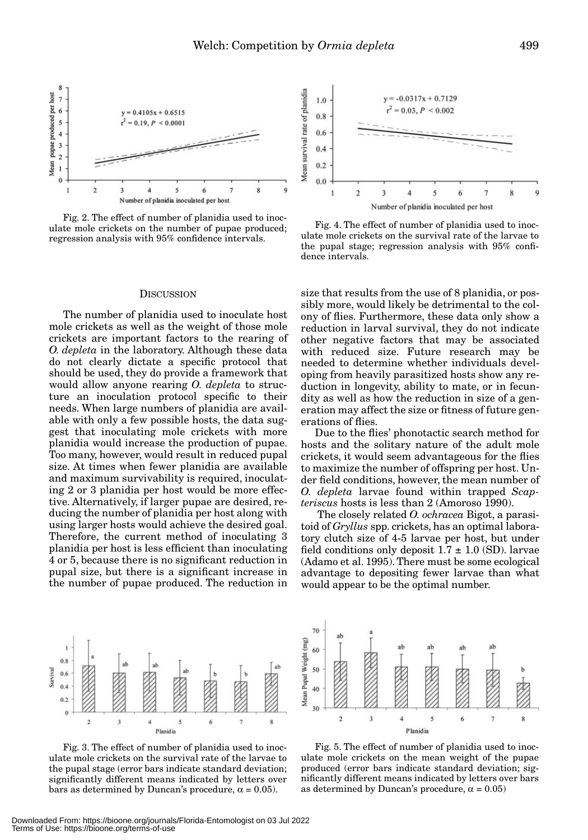

Fig. 2. The effect of number of planidia used to inoculate mole crickets on the number of pupae produced; regression analysis with 95% confidence intervals.

#### **DISCUSSION**

The number of planidia used to inoculate host mole crickets as well as the weight of those mole crickets are important factors to the rearing of *O. depleta* in the laboratory. Although these data do not clearly dictate a specific protocol that should be used, they do provide a framework that would allow anyone rearing *O. depleta* to structure an inoculation protocol specific to their needs. When large numbers of planidia are available with only a few possible hosts, the data suggest that inoculating mole crickets with more planidia would increase the production of pupae. Too many, however, would result in reduced pupal size. At times when fewer planidia are available and maximum survivability is required, inoculating 2 or 3 planidia per host would be more effective. Alternatively, if larger pupae are desired, reducing the number of planidia per host along with using larger hosts would achieve the desired goal. Therefore, the current method of inoculating 3 planidia per host is less efficient than inoculating 4 or 5, because there is no significant reduction in pupal size, but there is a significant increase in the number of pupae produced. The reduction in



Fig. 4. The effect of number of planidia used to inoculate mole crickets on the survival rate of the larvae to the pupal stage; regression analysis with 95% confidence intervals.

size that results from the use of 8 planidia, or possibly more, would likely be detrimental to the colony of flies. Furthermore, these data only show a reduction in larval survival, they do not indicate other negative factors that may be associated with reduced size. Future research may be needed to determine whether individuals developing from heavily parasitized hosts show any reduction in longevity, ability to mate, or in fecundity as well as how the reduction in size of a generation may affect the size or fitness of future generations of flies.

Due to the flies' phonotactic search method for hosts and the solitary nature of the adult mole crickets, it would seem advantageous for the flies to maximize the number of offspring per host. Under field conditions, however, the mean number of *O. depleta* larvae found within trapped *Scapteriscus* hosts is less than 2 (Amoroso 1990).

The closely related *O. ochracea* Bigot, a parasitoid of *Gryllus* spp. crickets, has an optimal laboratory clutch size of 4-5 larvae per host, but under field conditions only deposit  $1.7 \pm 1.0$  (SD). larvae (Adamo et al. 1995). There must be some ecological advantage to depositing fewer larvae than what would appear to be the optimal number.



Fig. 3. The effect of number of planidia used to inoculate mole crickets on the survival rate of the larvae to the pupal stage (error bars indicate standard deviation; significantly different means indicated by letters over bars as determined by Duncan's procedure,  $\alpha = 0.05$ ).



Fig. 5. The effect of number of planidia used to inoculate mole crickets on the mean weight of the pupae produced (error bars indicate standard deviation; significantly different means indicated by letters over bars as determined by Duncan's procedure,  $\alpha = 0.05$ )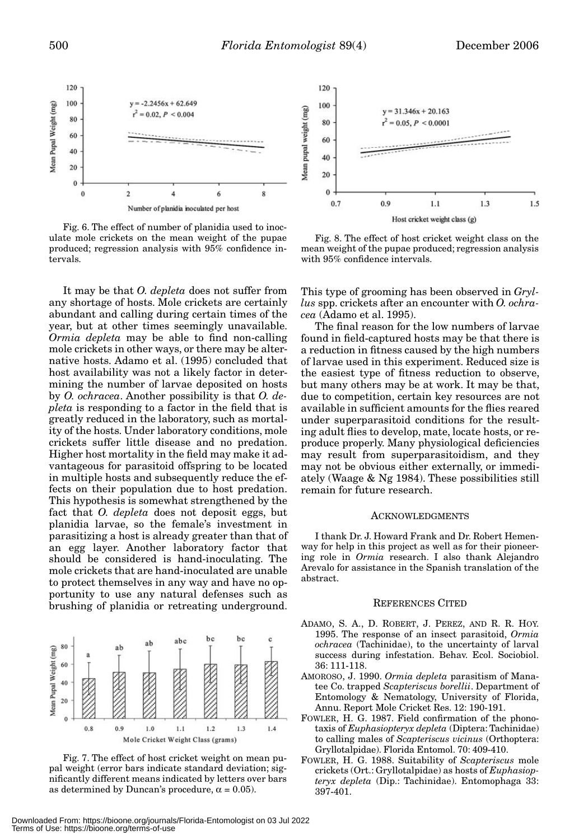

Fig. 6. The effect of number of planidia used to inoculate mole crickets on the mean weight of the pupae produced; regression analysis with 95% confidence intervals.

It may be that *O. depleta* does not suffer from any shortage of hosts. Mole crickets are certainly abundant and calling during certain times of the year, but at other times seemingly unavailable. *Ormia depleta* may be able to find non-calling mole crickets in other ways, or there may be alternative hosts. Adamo et al. (1995) concluded that host availability was not a likely factor in determining the number of larvae deposited on hosts by *O. ochracea*. Another possibility is that *O. depleta* is responding to a factor in the field that is greatly reduced in the laboratory, such as mortality of the hosts. Under laboratory conditions, mole crickets suffer little disease and no predation. Higher host mortality in the field may make it advantageous for parasitoid offspring to be located in multiple hosts and subsequently reduce the effects on their population due to host predation. This hypothesis is somewhat strengthened by the fact that *O. depleta* does not deposit eggs, but planidia larvae, so the female's investment in parasitizing a host is already greater than that of an egg layer. Another laboratory factor that should be considered is hand-inoculating. The mole crickets that are hand-inoculated are unable to protect themselves in any way and have no opportunity to use any natural defenses such as brushing of planidia or retreating underground.



Fig. 7. The effect of host cricket weight on mean pupal weight (error bars indicate standard deviation; significantly different means indicated by letters over bars as determined by Duncan's procedure,  $\alpha = 0.05$ ).



Fig. 8. The effect of host cricket weight class on the mean weight of the pupae produced; regression analysis with 95% confidence intervals.

This type of grooming has been observed in *Gryllus* spp. crickets after an encounter with *O. ochracea* (Adamo et al. 1995).

The final reason for the low numbers of larvae found in field-captured hosts may be that there is a reduction in fitness caused by the high numbers of larvae used in this experiment. Reduced size is the easiest type of fitness reduction to observe, but many others may be at work. It may be that, due to competition, certain key resources are not available in sufficient amounts for the flies reared under superparasitoid conditions for the resulting adult flies to develop, mate, locate hosts, or reproduce properly. Many physiological deficiencies may result from superparasitoidism, and they may not be obvious either externally, or immediately (Waage & Ng 1984). These possibilities still remain for future research.

### ACKNOWLEDGMENTS

I thank Dr. J. Howard Frank and Dr. Robert Hemenway for help in this project as well as for their pioneering role in *Ormia* research. I also thank Alejandro Arevalo for assistance in the Spanish translation of the abstract.

#### REFERENCES CITED

- ADAMO, S. A., D. ROBERT, J. PEREZ, AND R. R. HOY. 1995. The response of an insect parasitoid, *Ormia ochracea* (Tachinidae), to the uncertainty of larval success during infestation. Behav. Ecol. Sociobiol. 36: 111-118.
- AMOROSO, J. 1990. *Ormia depleta* parasitism of Manatee Co. trapped *Scapteriscus borellii*. Department of Entomology & Nematology, University of Florida, Annu. Report Mole Cricket Res. 12: 190-191.
- FOWLER, H. G. 1987. Field confirmation of the phonotaxis of *Euphasiopteryx depleta* (Diptera: Tachinidae) to calling males of *Scapteriscus vicinus* (Orthoptera: Gryllotalpidae). Florida Entomol. 70: 409-410.
- FOWLER, H. G. 1988. Suitability of *Scapteriscus* mole crickets (Ort.: Gryllotalpidae) as hosts of *Euphasiopteryx depleta* (Dip.: Tachinidae). Entomophaga 33: 397-401.